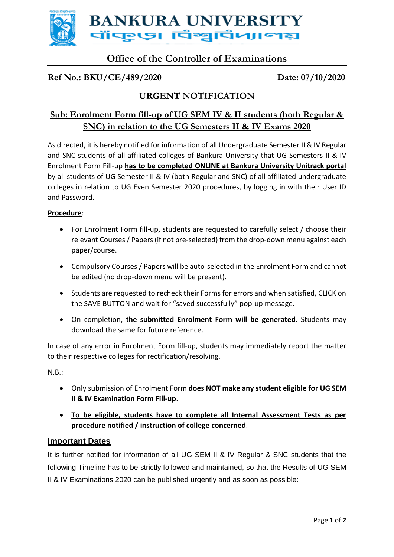

# **Office of the Controller of Examinations**

### **Ref No.: BKU/CE/489/2020 Date: 07/10/2020**

### **URGENT NOTIFICATION**

## **Sub: Enrolment Form fill-up of UG SEM IV & II students (both Regular & SNC) in relation to the UG Semesters II & IV Exams 2020**

As directed, it is hereby notified for information of all Undergraduate Semester II & IV Regular and SNC students of all affiliated colleges of Bankura University that UG Semesters II & IV Enrolment Form Fill-up **has to be completed ONLINE at Bankura University Unitrack portal** by all students of UG Semester II & IV (both Regular and SNC) of all affiliated undergraduate colleges in relation to UG Even Semester 2020 procedures, by logging in with their User ID and Password.

#### **Procedure**:

- For Enrolment Form fill-up, students are requested to carefully select / choose their relevant Courses / Papers(if not pre-selected) from the drop-down menu against each paper/course.
- Compulsory Courses / Papers will be auto-selected in the Enrolment Form and cannot be edited (no drop-down menu will be present).
- Students are requested to recheck their Forms for errors and when satisfied, CLICK on the SAVE BUTTON and wait for "saved successfully" pop-up message.
- On completion, **the submitted Enrolment Form will be generated**. Students may download the same for future reference.

In case of any error in Enrolment Form fill-up, students may immediately report the matter to their respective colleges for rectification/resolving.

N.B.:

- Only submission of Enrolment Form **does NOT make any student eligible for UG SEM II & IV Examination Form Fill-up**.
- **To be eligible, students have to complete all Internal Assessment Tests as per procedure notified / instruction of college concerned**.

#### **Important Dates**

It is further notified for information of all UG SEM II & IV Regular & SNC students that the following Timeline has to be strictly followed and maintained, so that the Results of UG SEM II & IV Examinations 2020 can be published urgently and as soon as possible: